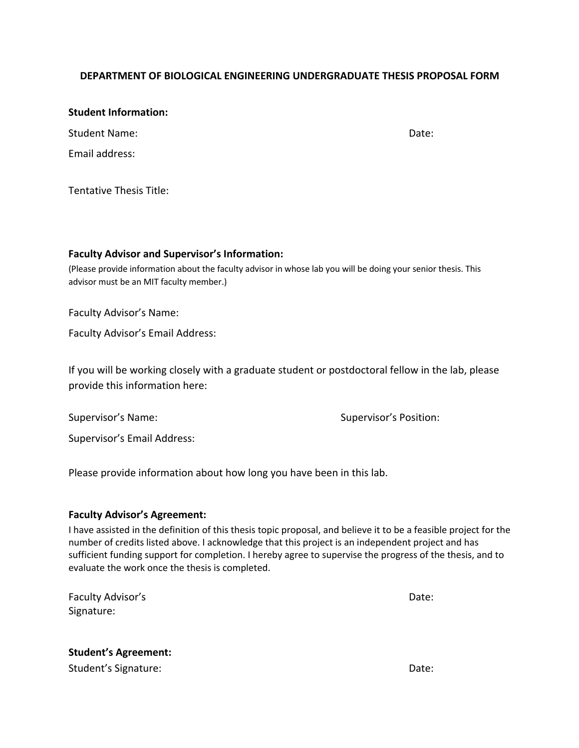## **DEPARTMENT OF BIOLOGICAL ENGINEERING UNDERGRADUATE THESIS PROPOSAL FORM**

## **Student Information:**

| <b>Student Name:</b> | Date: |
|----------------------|-------|
| Email address:       |       |

Tentative Thesis Title:

## **Faculty Advisor and Supervisor's Information:**

(Please provide information about the faculty advisor in whose lab you will be doing your senior thesis. This advisor must be an MIT faculty member.)

Faculty Advisor's Name:

Faculty Advisor's Email Address:

If you will be working closely with a graduate student or postdoctoral fellow in the lab, please provide this information here:

Supervisor's Name: Supervisor's Position:

Supervisor's Email Address:

Please provide information about how long you have been in this lab.

## **Faculty Advisor's Agreement:**

I have assisted in the definition of this thesis topic proposal, and believe it to be a feasible project for the number of credits listed above. I acknowledge that this project is an independent project and has sufficient funding support for completion. I hereby agree to supervise the progress of the thesis, and to evaluate the work once the thesis is completed.

Faculty Advisor's Date: Signature:

**Student's Agreement:**  Student's Signature:  $\Box$  Date:  $\Box$  Date:  $\Box$